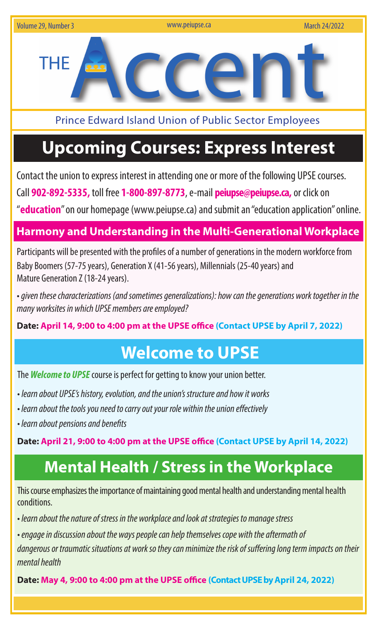

Prince Edward Island Union of Public Sector Employees

# **Upcoming Courses: Express Interest**

Contact the union to express interest in attending one or more of the following UPSE courses.

Call **902-892-5335,** toll free **1-800-897-8773**, e-mail **peiupse@peiupse.ca,** or click on

"**education**" on our homepage (www.peiupse.ca) and submit an "education application" online.

## **Harmony and Understanding in the Multi-Generational Workplace**

Participants will be presented with the profiles of a number of generations in the modern workforce from Baby Boomers (57-75 years), Generation X (41-56 years), Millennials (25-40 years) and Mature Generation Z (18-24 years).

• *given these characterizations (and sometimes generalizations): how can the generations work together in the many worksites in which UPSE members are employed?*

**Date: April 14, 9:00 to 4:00 pm at the UPSE office (Contact UPSE by April 7, 2022)**

# **Welcome to UPSE**

The *Welcome to UPSE* course is perfect for getting to know your union better.

- *learn about UPSE's history, evolution, and the union's structure and how it works*
- *learn about the tools you need to carry out your role within the union effectively*
- *learn about pensions and benefits*

**Date: April 21, 9:00 to 4:00 pm at the UPSE office (Contact UPSE by April 14, 2022)**

# **Mental Health / Stress in the Workplace**

This course emphasizes the importance of maintaining good mental health and understanding mental health conditions.

• *learn about the nature of stress in the workplace and look at strategies to manage stress* 

*• engage in discussion about the ways people can help themselves cope with the aftermath of* 

*dangerous or traumatic situations at work so they can minimize the risk of suffering long term impacts on their mental health*

**Date: May 4, 9:00 to 4:00 pm at the UPSE office (Contact UPSE by April 24, 2022)**